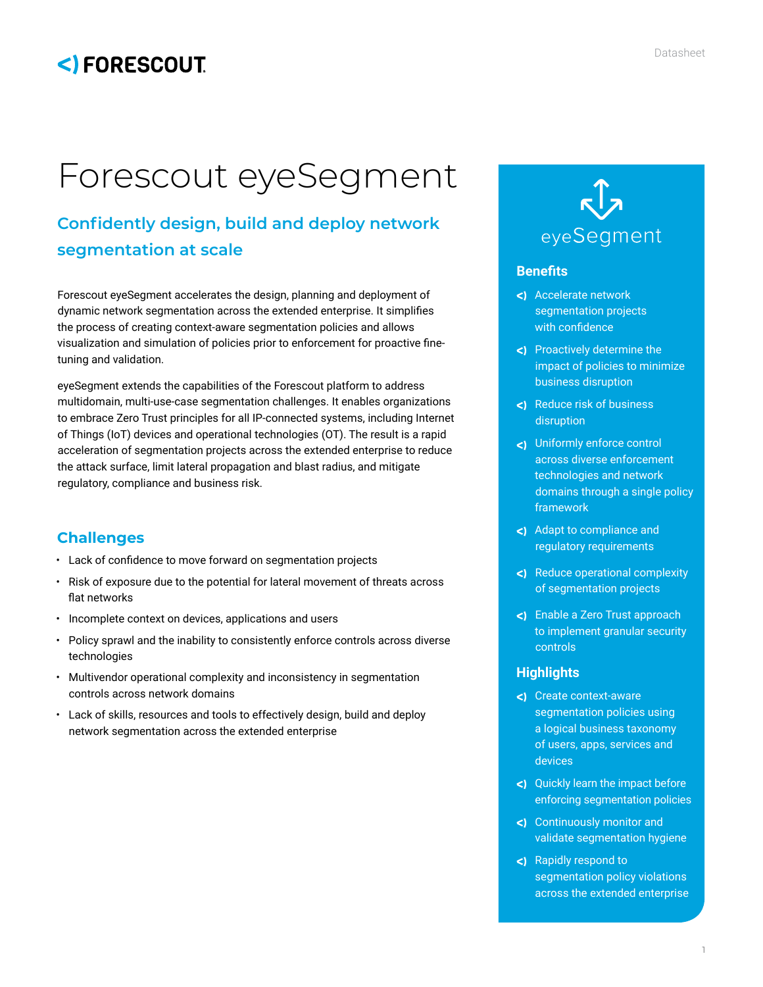# <) FORESCOUT

# Forescout eyeSegment

# **Confidently design, build and deploy network segmentation at scale**

Forescout eyeSegment accelerates the design, planning and deployment of dynamic network segmentation across the extended enterprise. It simplifies the process of creating context-aware segmentation policies and allows visualization and simulation of policies prior to enforcement for proactive finetuning and validation.

eyeSegment extends the capabilities of the Forescout platform to address multidomain, multi-use-case segmentation challenges. It enables organizations to embrace Zero Trust principles for all IP-connected systems, including Internet of Things (IoT) devices and operational technologies (OT). The result is a rapid acceleration of segmentation projects across the extended enterprise to reduce the attack surface, limit lateral propagation and blast radius, and mitigate regulatory, compliance and business risk.

# **Challenges**

- Lack of confidence to move forward on segmentation projects
- Risk of exposure due to the potential for lateral movement of threats across flat networks
- Incomplete context on devices, applications and users
- Policy sprawl and the inability to consistently enforce controls across diverse technologies
- Multivendor operational complexity and inconsistency in segmentation controls across network domains
- Lack of skills, resources and tools to effectively design, build and deploy network segmentation across the extended enterprise



#### **Benefits**

- <) Accelerate network segmentation projects with confidence
- Proactively determine the impact of policies to minimize business disruption
- <) Reduce risk of business disruption
- Uniformly enforce control across diverse enforcement technologies and network domains through a single policy framework
- <) Adapt to compliance and regulatory requirements
- Reduce operational complexity of segmentation projects
- Enable a Zero Trust approach to implement granular security controls

#### **Highlights**

- <) Create context-aware segmentation policies using a logical business taxonomy of users, apps, services and devices
- Quickly learn the impact before enforcing segmentation policies
- Continuously monitor and validate segmentation hygiene
- Rapidly respond to segmentation policy violations across the extended enterprise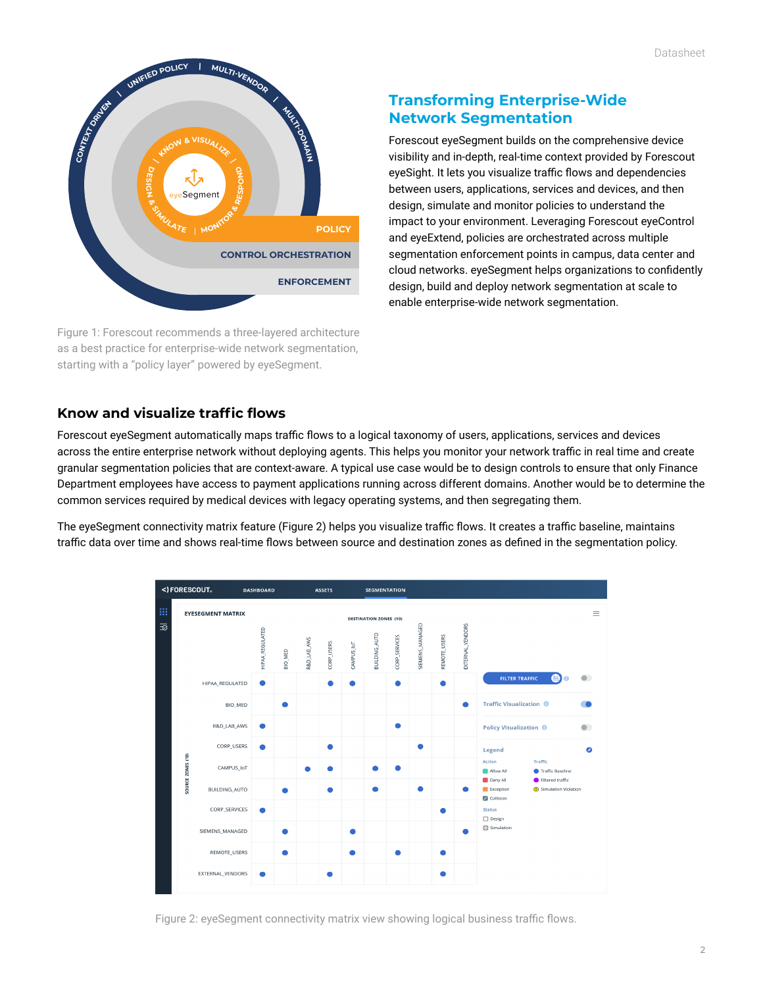

Figure 1: Forescout recommends a three-layered architecture as a best practice for enterprise-wide network segmentation, starting with a "policy layer" powered by eyeSegment.

## **Transforming Enterprise-Wide Network Segmentation**

Forescout eyeSegment builds on the comprehensive device visibility and in-depth, real-time context provided by Forescout eyeSight. It lets you visualize traffic flows and dependencies between users, applications, services and devices, and then design, simulate and monitor policies to understand the impact to your environment. Leveraging Forescout eyeControl and eyeExtend, policies are orchestrated across multiple segmentation enforcement points in campus, data center and cloud networks. eyeSegment helps organizations to confidently design, build and deploy network segmentation at scale to enable enterprise-wide network segmentation.

## **Know and visualize traffic flows**

Forescout eyeSegment automatically maps traffic flows to a logical taxonomy of users, applications, services and devices across the entire enterprise network without deploying agents. This helps you monitor your network traffic in real time and create granular segmentation policies that are context-aware. A typical use case would be to design controls to ensure that only Finance Department employees have access to payment applications running across different domains. Another would be to determine the common services required by medical devices with legacy operating systems, and then segregating them.

The eyeSegment connectivity matrix feature (Figure 2) helps you visualize traffic flows. It creates a traffic baseline, maintains traffic data over time and shows real-time flows between source and destination zones as defined in the segmentation policy.



Figure 2: eyeSegment connectivity matrix view showing logical business traffic flows.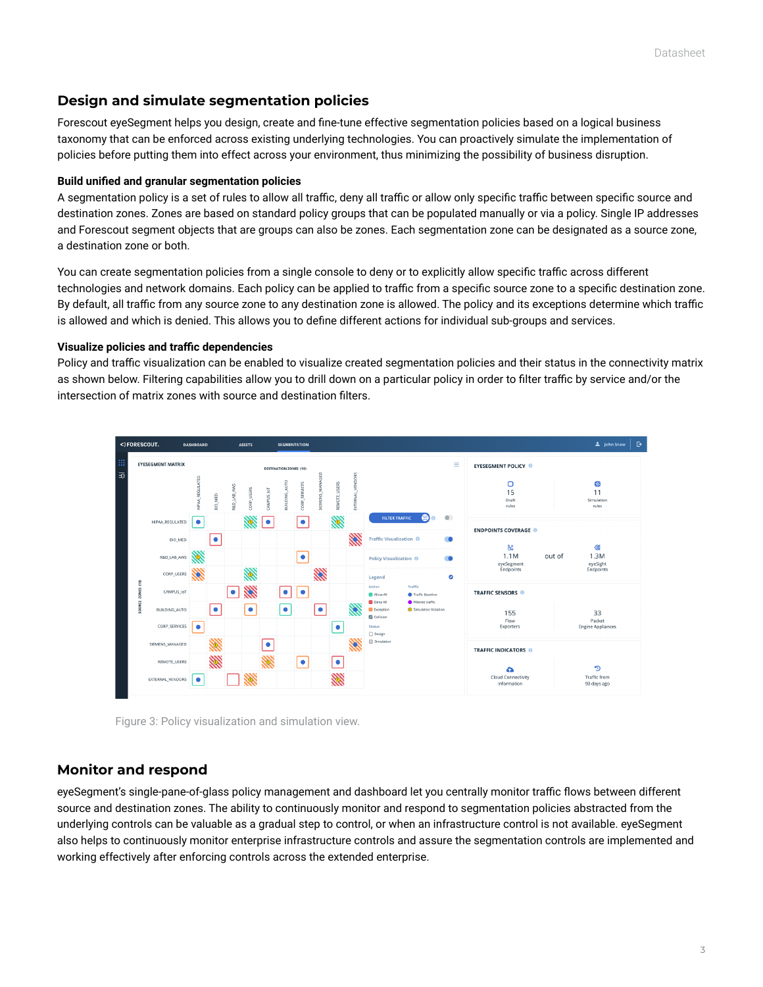#### **Design and simulate segmentation policies**

Forescout eyeSegment helps you design, create and fine-tune effective segmentation policies based on a logical business taxonomy that can be enforced across existing underlying technologies. You can proactively simulate the implementation of policies before putting them into effect across your environment, thus minimizing the possibility of business disruption.

#### **Build unified and granular segmentation policies**

A segmentation policy is a set of rules to allow all traffic, deny all traffic or allow only specific traffic between specific source and destination zones. Zones are based on standard policy groups that can be populated manually or via a policy. Single IP addresses and Forescout segment objects that are groups can also be zones. Each segmentation zone can be designated as a source zone, a destination zone or both.

You can create segmentation policies from a single console to deny or to explicitly allow specific traffic across different technologies and network domains. Each policy can be applied to traffic from a specific source zone to a specific destination zone. By default, all traffic from any source zone to any destination zone is allowed. The policy and its exceptions determine which traffic is allowed and which is denied. This allows you to define different actions for individual sub-groups and services.

#### **Visualize policies and traffic dependencies**

Policy and traffic visualization can be enabled to visualize created segmentation policies and their status in the connectivity matrix as shown below. Filtering capabilities allow you to drill down on a particular policy in order to filter traffic by service and/or the intersection of matrix zones with source and destination filters.



Figure 3: Policy visualization and simulation view.

#### **Monitor and respond**

eyeSegment's single-pane-of-glass policy management and dashboard let you centrally monitor traffic flows between different source and destination zones. The ability to continuously monitor and respond to segmentation policies abstracted from the underlying controls can be valuable as a gradual step to control, or when an infrastructure control is not available. eyeSegment also helps to continuously monitor enterprise infrastructure controls and assure the segmentation controls are implemented and working effectively after enforcing controls across the extended enterprise.